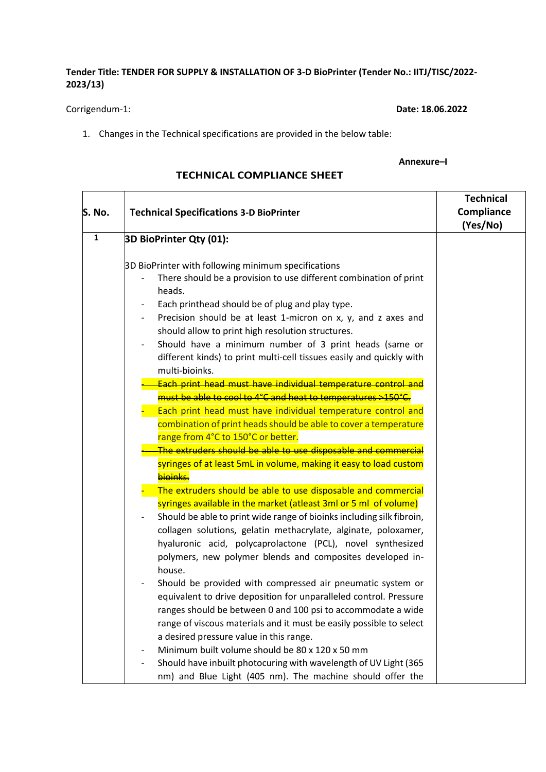## **Tender Title: TENDER FOR SUPPLY & INSTALLATION OF 3-D BioPrinter (Tender No.: IITJ/TISC/2022- 2023/13)**

Corrigendum-1: **Date: 18.06.2022**

1. Changes in the Technical specifications are provided in the below table:

## **Annexure–I**

|              |                                                                                                                                                  | <b>Technical</b> |
|--------------|--------------------------------------------------------------------------------------------------------------------------------------------------|------------------|
| S. No.       | <b>Technical Specifications 3-D BioPrinter</b>                                                                                                   | Compliance       |
|              |                                                                                                                                                  | (Yes/No)         |
| $\mathbf{1}$ | 3D BioPrinter Qty (01):                                                                                                                          |                  |
|              |                                                                                                                                                  |                  |
|              | 3D BioPrinter with following minimum specifications<br>There should be a provision to use different combination of print<br>heads.               |                  |
|              | Each printhead should be of plug and play type.                                                                                                  |                  |
|              | Precision should be at least 1-micron on x, y, and z axes and<br>should allow to print high resolution structures.                               |                  |
|              | Should have a minimum number of 3 print heads (same or<br>different kinds) to print multi-cell tissues easily and quickly with<br>multi-bioinks. |                  |
|              | Each print head must have individual temperature control and                                                                                     |                  |
|              | must be able to cool to 4°C and heat to temperatures >150°C.                                                                                     |                  |
|              | Each print head must have individual temperature control and                                                                                     |                  |
|              | combination of print heads should be able to cover a temperature                                                                                 |                  |
|              | range from 4°C to 150°C or better.                                                                                                               |                  |
|              | The extruders should be able to use disposable and commercial                                                                                    |                  |
|              | syringes of at least 5mL in volume, making it easy to load custom<br>bioinks.                                                                    |                  |
|              | The extruders should be able to use disposable and commercial                                                                                    |                  |
|              | syringes available in the market (atleast 3ml or 5 ml of volume)<br>Should be able to print wide range of bioinks including silk fibroin,        |                  |
|              | collagen solutions, gelatin methacrylate, alginate, poloxamer,                                                                                   |                  |
|              | hyaluronic acid, polycaprolactone (PCL), novel synthesized                                                                                       |                  |
|              | polymers, new polymer blends and composites developed in-<br>house.                                                                              |                  |
|              | Should be provided with compressed air pneumatic system or                                                                                       |                  |
|              | equivalent to drive deposition for unparalleled control. Pressure                                                                                |                  |
|              | ranges should be between 0 and 100 psi to accommodate a wide                                                                                     |                  |
|              | range of viscous materials and it must be easily possible to select                                                                              |                  |
|              | a desired pressure value in this range.                                                                                                          |                  |
|              | Minimum built volume should be 80 x 120 x 50 mm                                                                                                  |                  |
|              | Should have inbuilt photocuring with wavelength of UV Light (365                                                                                 |                  |
|              | nm) and Blue Light (405 nm). The machine should offer the                                                                                        |                  |

## **TECHNICAL COMPLIANCE SHEET**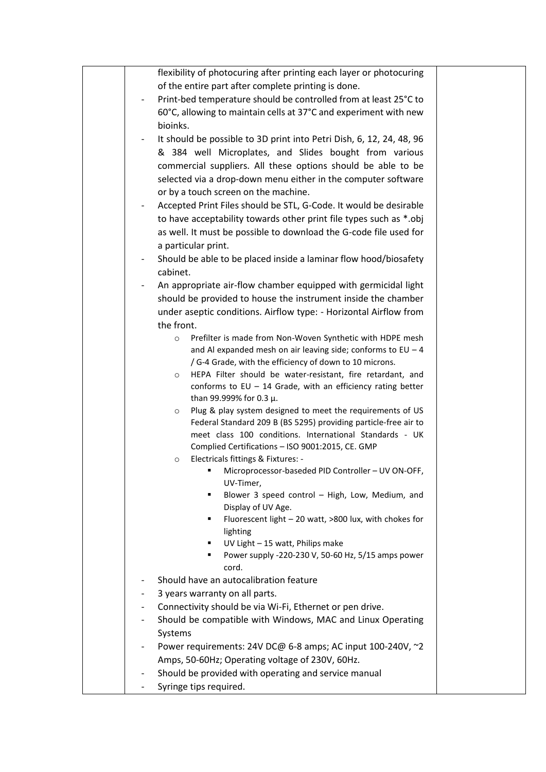|                | flexibility of photocuring after printing each layer or photocuring   |  |
|----------------|-----------------------------------------------------------------------|--|
|                | of the entire part after complete printing is done.                   |  |
|                | Print-bed temperature should be controlled from at least 25°C to      |  |
|                | 60°C, allowing to maintain cells at 37°C and experiment with new      |  |
|                | bioinks.                                                              |  |
|                | It should be possible to 3D print into Petri Dish, 6, 12, 24, 48, 96  |  |
|                | & 384 well Microplates, and Slides bought from various                |  |
|                |                                                                       |  |
|                | commercial suppliers. All these options should be able to be          |  |
|                | selected via a drop-down menu either in the computer software         |  |
|                | or by a touch screen on the machine.                                  |  |
|                | Accepted Print Files should be STL, G-Code. It would be desirable     |  |
|                | to have acceptability towards other print file types such as *.obj    |  |
|                | as well. It must be possible to download the G-code file used for     |  |
|                | a particular print.                                                   |  |
|                | Should be able to be placed inside a laminar flow hood/biosafety      |  |
|                | cabinet.                                                              |  |
|                | An appropriate air-flow chamber equipped with germicidal light        |  |
|                | should be provided to house the instrument inside the chamber         |  |
|                | under aseptic conditions. Airflow type: - Horizontal Airflow from     |  |
|                | the front.                                                            |  |
|                | Prefilter is made from Non-Woven Synthetic with HDPE mesh<br>$\circ$  |  |
|                | and Al expanded mesh on air leaving side; conforms to $EU - 4$        |  |
|                | / G-4 Grade, with the efficiency of down to 10 microns.               |  |
|                | HEPA Filter should be water-resistant, fire retardant, and<br>$\circ$ |  |
|                | conforms to $EU - 14$ Grade, with an efficiency rating better         |  |
|                | than 99.999% for 0.3 $\mu$ .                                          |  |
|                | Plug & play system designed to meet the requirements of US<br>$\circ$ |  |
|                | Federal Standard 209 B (BS 5295) providing particle-free air to       |  |
|                | meet class 100 conditions. International Standards - UK               |  |
|                | Complied Certifications - ISO 9001:2015, CE. GMP                      |  |
|                | Electricals fittings & Fixtures: -<br>$\circ$                         |  |
|                | Microprocessor-baseded PID Controller - UV ON-OFF,                    |  |
|                | UV-Timer,                                                             |  |
|                | Blower 3 speed control - High, Low, Medium, and<br>٠                  |  |
|                | Display of UV Age.<br>٠                                               |  |
|                | Fluorescent light - 20 watt, >800 lux, with chokes for<br>lighting    |  |
|                | UV Light - 15 watt, Philips make                                      |  |
|                | Power supply -220-230 V, 50-60 Hz, 5/15 amps power                    |  |
|                | cord.                                                                 |  |
|                | Should have an autocalibration feature                                |  |
|                | 3 years warranty on all parts.                                        |  |
|                | Connectivity should be via Wi-Fi, Ethernet or pen drive.              |  |
| $\overline{a}$ | Should be compatible with Windows, MAC and Linux Operating            |  |
|                |                                                                       |  |
|                | Systems                                                               |  |
|                | Power requirements: 24V DC@ 6-8 amps; AC input 100-240V, ~2           |  |
|                | Amps, 50-60Hz; Operating voltage of 230V, 60Hz.                       |  |
|                | Should be provided with operating and service manual                  |  |
|                | Syringe tips required.                                                |  |